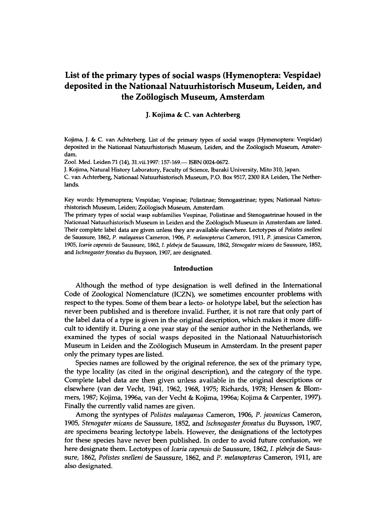# **List of the primary types of social wasps (Hymenoptera: Vespidae) deposited in the Nationaal Natuurhistorisch Museum, Leiden, and the Zoologisch Museum, Amsterdam**

J. Kojima & C. van Achterberg

**Kojima, J. & C. van Achterberg. List of the primary types of social wasps (Hymenoptera: Vespidae) deposited in the Nationaal Natuurhistorisch Museum, Leiden, and the Zoologisch Museum, Amsterdam.** 

**Zool. Med. Leiden 71 (14), [31.vii.1997:1](http://31.vii.1997)57-169.— ISBN 0024-0672.** 

**J. Kojima, Natural History Laboratory, Faculty of Science, Ibaraki University, Mito 310, Japan. C. van Achterberg, Nationaal Natuurhistorisch Museum, P.O. Box 9517, 2300 RA Leiden, The Netherlands.** 

**Key words: Hymenoptera; Vespidae; Vespinae; Polistinae; Stenogastrinae; types; Nationaal Natuurhistorisch Museum, Leiden; Zoologisch Museum, Amsterdam.** 

**The primary types of social wasp subfamilies Vespinae, Polistinae and Stenogastrinae housed in the Nationaal Natuurhistorisch Museum in Leiden and the Zoologisch Museum in Amsterdam are listed. Their complete label data are given unless they are available elsewhere. Lectotypes of** *Polistes snelleni*  **de Saussure, 1862, P.** *malayanus* **Cameron, 1906, P.** *melanopterus* **Cameron, 1911, P.** *javanicus* **Cameron, 1905,** *Icaria capensis* **de Saussure, 1862, 7.** *plebeja* **de Saussure, 1862,** *Stenogater micans* **de Saussure, 1852, and** *Ischnogaster foveatus* **du Buysson, 1907, are designated.** 

#### Introduction

Although the method of type designation is well defined in the International Code of Zoological Nomenclature (ICZN), we sometimes encounter problems with respect to the types. Some of them bear a lecto- or holotype label, but the selection has never been published and is therefore invalid. Further, it is not rare that only part of the label data of a type is given in the original description, which makes it more difficult to identify it. During a one year stay of the senior author in the Netherlands, we examined the types of social wasps deposited in the Nationaal Natuurhistorisch Museum in Leiden and the Zoölogisch Museum in Amsterdam. In the present paper only the primary types are listed.

Species names are followed by the original reference, the sex of the primary type, the type locality (as cited in the original description), and the category of the type. Complete label data are then given unless available in the original descriptions or elsewhere (van der Vecht, 1941, 1962, 1968, 1975; Richards, 1978; Hensen & Blommers, 1987; Kojima, 1996a, van der Vecht & Kojima, 1996a; Kojima & Carpenter, 1997). Finally the currently valid names are given.

Amon g the syntypes of *Polistes malayanus* Cameron, 1906, P. *javanicus* Cameron, 1905, Stenogater micans de Saussure, 1852, and *Ischnogaster foveatus* du Buysson, 1907, are specimens bearing lectotype labels. However, the designations of the lectotypes for these species have never been published. In order to avoid future confusion, we here designate them. Lectotypes of *Icaria capensis* de Saussure, 1862, 7. *plebeja* de Saussure, 1862, *Polistes snelleni* de Saussure, 1862, and P. *melanopterus* Cameron, 1911, are also designated.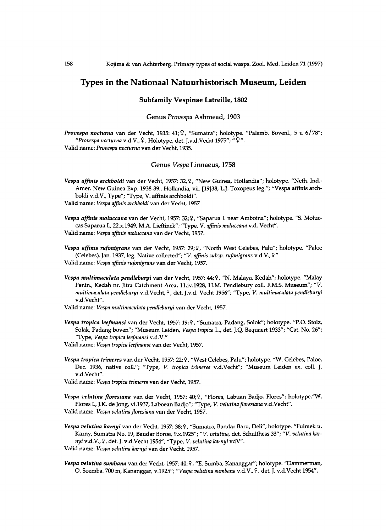# **Types in the Nationaal Natuurhistorisch Museum, Leiden**

# **Subfamily Vespinae Latreille, 1802**

#### Genus *Provespa* Ashmead, 1903

*Provespa nocturna* **van der Vecht, 1935: 41;\$, "Sumatra"; holotype. "Palemb. Bovenl., 5 u 6/78";**  *"Provespa nocturna* **v.d.V.,** 9 **, Holotype, det. J.v.d.Vecht 1975"; "** 2 ". **Valid name:** *Provespa nocturna* **van der Vecht, 1935.** 

# Genus Vespa Linnaeus, 1758

*Vespa affinis archboldi* **van der Vecht, 1957: 32,\$, "New Guinea, Hollandia"; holotype. "Neth. Ind.- Amer. New Guinea Exp. 1938-39., Hollandia, vii. [19]38, L.J. Toxopeus leg."; "Vespa affinis archboldi v.d.V., Type"; "Type, V. affinis archboldi". Valid name:** *Vespa affinis archboldi* **van der Vecht, 1957** 

*Vespa affinis moluccana* **van der Vecht, 1957: 32;** 9 , **"Saparua I. near Amboina"; holotype. "S. Moluccas Saparua I., 22.X.1949, M.A. Lieftinck"; "Type, V.** *affinis moluccana* **v.d. Vecht". Valid name:** *Vespa affinis moluccana* **van der Vecht, 1957.** 

*Vespa affinis rufonigrans* **van der Vecht, 1957: 29;** 9 , **"North West Celebes, Palu"; holotype. "Paloe (Celebes), Jan. 1937, leg. Native collected";** *"V. affinis subsp. rufonigrans* **v.d.V.,** 9 " **Valid name:** *Vespa affinis rufonigrans* **van der Vecht, 1957.** 

*Vespa multimaculata pendleburyi* **van der Vecht, 1957: 44;** 9 , **"N . Malaya, Kedah"; holotype. "Malay Penin., Kedah nr. Jitra Catchment Area, [ll.iv.1928,](http://ll.iv.1928) H.M. Pendlebury coll. F.M.S. Museum";** *"V. multimaculata pendleburyi* **v.d.Vecht**,9, **det. J.v.d. Vecht 1956"; "Type,** *V. multimaculata pendleburyi*  **v.d. Vecht".** 

**Valid name:** *Vespa multimaculata pendleburyi* **van der Vecht, 1957.** 

- *Vespa tropica leefmansi* **van der Vecht, 1957: 19;** 9 , **"Sumatra, Padang, Solok"; holotype. "P.O. Stolz, Solak, Padang boven"; "Museum Leiden,** *Vespa tropica* **L., det. J.Q. Bequaert 1933"; "Cat. No. 26"; "Type,** *Vespa tropica leefmansi* **v.d.V."**
- **Valid name:** *Vespa tropica leefmansi* **van der Vecht, 1957.**
- *Vespa tropica trimeres* **van der Vecht, 1957: 22;** 9 , **"West Celebes, Palu"; holotype. "W. Celebes, Paloe, Dec. 1936, native coll."; "Type,** *V. tropica trimeres* **v.d.Vecht"; "Museum Leiden ex. coll. J. v.d. Vecht".**
- **Valid name:** *Vespa tropica trimeres* **van der Vecht, 1957.**
- *Vespa velutina floresiana* **van der Vecht, 1957: 40;** 9 , **"Flores, Labuan Badjo, Flores"; holotype."W. Flores I., J.K. de Jong, vi.1937, Laboean Badjo"; "Type,** *V. velutina floresiana* **v.d.Vecht".**

**Valid name:** *Vespa velutina floresiana* **van der Vecht, 1957.** 

- *Vespa velutina karnyi* **van der Vecht, 1957: 38;** 9 , **"Sumatra, Bandar Baru, Deli"; holotype. "Fulmek u. Karny, Sumatra No. 19, Baudar Boroe, 9.X.1925";** *"V. velutina,* **det. Schulthess 33";** *"V. velutina karnyi* **v.d.V.,** 9 , **det. J. v.d.Vecht 1954"; "Type,** *V. velutina karnyi* **vdV". Valid name:** *Vespa velutina karnyi* **van der Vecht, 1957.**
- *Vespa velutina sumbana* **van der Vecht, 1957:40;** 9 , **"E. Sumba, Kananggar"; holotype. "Dammerman, O. Soemba, 700 m, Kananggar, v.1925";** *"Vespa velutina sumbana* **v.d.V.,** 9 , **det. J. v.d.Vecht 1954".**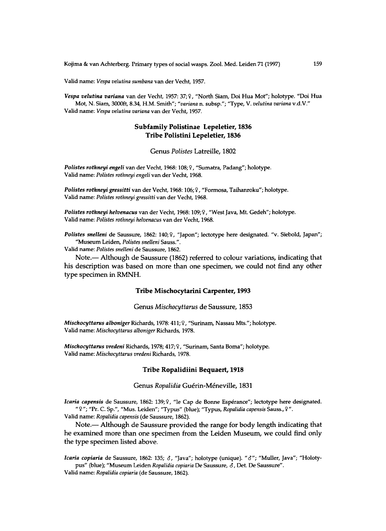**Valid name:** *Vespa velutina sumbana* **van der Vecht, 1957.** 

*Vespa velutina variana* **van der Vecht, 1957: 37;** 9 , **"North Siam, Doi Hua Mot"; holotype. "Doi Hua Mot, N. Siam, 3000ft, 8.34, H.M. Smith";** *"variana* **n. subsp."; "Type, V.** *velutina variana* **v.d.V." Valid name:** *Vespa velutina variana* **van der Vecht, 1957.** 

# **Subfamily Polistinae Lepeletier, 1836 Tribe Polistini Lepeletier, 1836**

Genus *Polistes* Latreille, 1802

*Polistes rothneyi engeli* **van der Vecht, 1968:108;** 9 , **"Sumatra, Padang"; holotype. Valid name:** *Polistes rothneyi engeli* **van der Vecht, 1968.** 

*Polistes rothneyi gressitti* **van der Vecht, 1968:106;** 9 , **"Formosa, Taihanroku"; holotype. Valid name:** *Polistes rothneyi gressitti* **van der Vecht, 1968.** 

*Polistes rothneyi helvenacus* **van der Vecht, 1968:109;** 9 , **"West Java, Mt. Gedeh"; holotype. Valid name:** *Polistes rothneyi helvenacus* **van der Vecht, 1968.** 

*Polistes snelleni* **de Saussure, 1862: 140;** 9 , **"Japon"; lectotype here designated, "v. Siebold, Japan"; "Museum Leiden,** *Polistes snelleni* **Sauss.".** 

**Valid name:** *Polistes snelleni* **de Saussure, 1862.** 

Note. - Although de Saussure (1862) referred to colour variations, indicating that his description was based on more than one specimen, we could not find any other type specimen in RMNH.

# **Tribe Mischocytarini Carpenter, 1993**

Genus *Mischocyttarus* de Saussure, 1853

*Mischocyttarus alhoniger* **Richards, 1978:411;** 9 , **"Surinam, Nassau Mts."; holotype. Valid name:** *Mischocyttarus alboniger* **Richards, 1978.** 

*Mischocyttarus vredeni* **Richards, 1978; 417;** 9 , **"Surinam, Santa Boma"; holotype. Valid name:** *Mischocyttarus vredeni* **Richards, 1978.** 

# **Tribe Ropalidiini Bequaert, 1918**

#### Genus Ropalidia Guérin-Méneville, 1831

*Icaria capensis* **de Saussure, 1862: 139;** 9 , **"le Cap de Bonne Esperance"; lectotype here designated.**  "9" ; **"Pr. C. Sp.", "Mus. Leiden"; "Typus" (blue); "Typus,** *Ropalidia capensis* **Sauss.,** 9" .

**Valid name:** *Ropalidia capensis* **(de Saussure, 1862).** 

Note.— Although de Saussure provided the range for body length indicating that he examined more than one specimen from the Leiden Museum, we could find only the type specimen listed above.

*Icaria copiaria* **de Saussure, 1862: 135;** *8,* **"Java"; holotype (unique). "6\*"; "Muller, Java"; "Holotypus" (blue); "Museum Leiden** *Ropalidia copiaria* **De Saussure,** *6,* **Det. De Saussure".** 

**Valid name:** *Ropalidia copiaria* **(de Saussure, 1862).**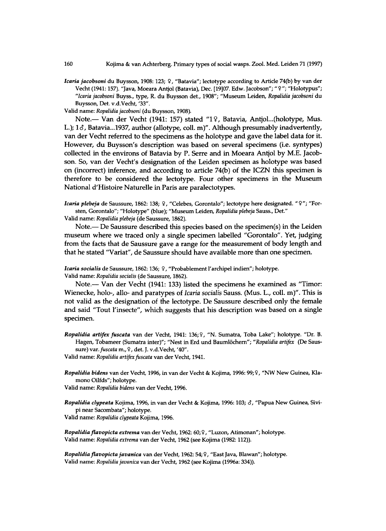*Icaria jacobsoni* **du Buysson, 1908:123;** 9 , **"Batavia"; lectotype according to Article 74(b) by van der Vecht (1941:157). "Java, Moeara Antjol (Batavia), Dec. [19]07. Edw. Jacobson";** "9" ; **"Holotypus";**  *"Icaria jacobsoni* **Buyss., type, R. du Buysson det., 1908"; "Museum Leiden,** *Ropalidia jacobsoni* **du Buysson, Det. v.d.Vecht, 33".** 

**Valid name:** *Ropalidia jacobsoni* **(du Buysson, 1908).** 

Note. - Van der Vecht (1941: 157) stated "19, Batavia, Antjol...(holotype, Mus. L.);  $1\delta$ , Batavia...1937, author (allotype, coll. m)". Although presumably inadvertently, van der Vecht referred to the specimens as the holotype and gave the label data for it. However, du Buysson's description was based on several specimens (i.e. syntypes) collected in the environs of Batavia by P. Serre and in Moeara Antjol by M.E. Jacobson. So, van der Vecht's designation of the Leiden specimen as holotype was based on (incorrect) inference, and according to article  $74(b)$  of the ICZN this specimen is therefore to be considered the lectotype. Four other specimens in the Museum National d'Histoire Naturelle in Paris are paralectotypes.

*Icaria plebeja* **de Saussure, 1862:138;** 9 , **"Celebes, Gorontalo"; lectotype here designated.** "9" ; **"Forsten, Gorontalo"; "Holotype" (blue); "Museum Leiden,** *Ropalidia plebeja* **Sauss., Det."** 

**Valid name:** *Ropalidia plebeja* **(de Saussure, 1862).** 

Note.— De Saussure described this species based on the specimen(s) in the Leiden museum where we traced only a single specimen labelled "Gorontalo". Yet, judging from the facts that de Saussure gave a range for the measurement of body length and that he stated "Variat", de Saussure should have available more than one specimen.

Icaria socialis de Saussure, 1862: 136; ?, "Probablement l'archipel indien"; holotype. **Valid name:** *Ropalidia socialis* **(de Saussure, 1862).** 

Note. — Van der Vecht (1941: 133) listed the specimens he examined as "Timor: Wienecke, holo-, allo- and paratypes of *Icaria socialis* Sauss. (Mus. L., coll. m)". This is not valid as the designation of the lectotype. De Saussure described only the female and said "Tout l'insecte", which suggests that his description was based on a single specimen.

*Ropalidia artifex fuscata* **van der Vecht, 1941: 136;** 9 , **"N . Sumatra, Toba Lake"; holotype. "Dr. B. Hagen, Tobameer (Sumatra inter)"; "Nest in Erd und Baumlochern";** *"Ropalidia artifex* **(De Saussure)** *var. fuscata* **m.,** 9 , **det. J. v.d.Vecht, '40".** 

**Valid name:** *Ropalidia artifex fuscata* **van der Vecht, 1941.** 

*Ropalidia bidens* **van der Vecht, 1996, in van der Vecht & Kojima, 1996: 99;** 9 , **"NW New Guinea, Klamono Oilfds"; holotype.** 

**Valid name:** *Ropalidia bidens* **van der Vecht, 1996.** 

*Ropalidia clypeata* **Kojima, 1996, in van der Vecht & Kojima, 1996:103;** *6,* **"Papua New Guinea, Sivipi near Sacombata"; holotype.** 

**Valid name:** *Ropalidia clypeata* **Kojima, 1996.** 

*Ropalidia flavopicta extrema* **van der Vecht, 1962: 60;** 9 , **"Luzon, Atimonan"; holotype. Valid name:** *Ropalidia extrema* **van der Vecht, 1962 (see Kojima (1982:112)).** 

*Ropalidia flavopicta javanica* **van der Vecht, 1962:54;** 9 , **"East Java, Blawan"; holotype. Valid name:** *Ropalidia javanica* **van der Vecht, 1962 (see Kojima (1996a: 334)).**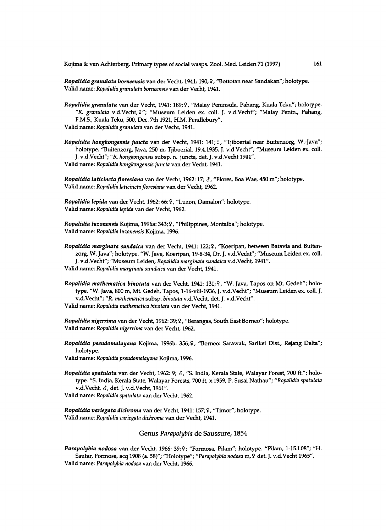*Ropalidia granulata borneensis* **van der Vecht, 1941:190;** 9 , **"Bottotan near Sandakan"; holotype. Valid name:** *Ropalidia granulata borneensis* **van der Vecht, 1941.** 

*Ropalidia granulata* **van der Vecht, 1941: 189;** 9 , **"Malay Peninsula, Pahang, Kuala Teku"; holotype.**  *"R. granulata* **v.d.Vecht,** 9 **" ; "Museum Leiden ex. coll. J. v.d.Vecht"; "Malay Penin., Pahang, F.M.S., Kuala Teku, 500, Dec. 7th 1921, H.M. Pendlebury". Valid name:** *Ropalidia granulata* **van der Vecht, 1941.** 

*Ropalidia hongkongensis juncta* **van der Vecht, 1941: 141;** 9 , **"Tjiboerial near Buitenzorg, W.-Java"; holotype. "Buitenzorg, Java, 250 m, Tjiboerial, 19.4.1935, J. v.d.Vecht"; "Museum Leiden ex. coll. J. v.d.Vecht";** *"R. hongkongensis* **subsp. n. juncta, det. J. v.d.Vecht 1941".** 

**Valid name:** *Ropalidia hongkongensis juncta* **van der Vecht, 1941.** 

*Ropalidia laticincta floresiana* **van der Vecht, 1962:17;** *6,* **"Flores, Boa Wae, 450 m"; holotype. Valid name:** *Ropalidia laticincta floresiana* **van der Vecht, 1962.** 

*Ropalidia lepida* **van der Vecht, 1962: 66;** 9 , **"Luzon, Damalon"; holotype. Valid name:** *Ropalidia lepida* **van der Vecht, 1962.** 

*Ropalidia luzonensis* **Kojima, 1996a: 343;** 9 , **"Philippines, Montalba"; holotype. Valid name:** *Ropalidia luzonensis* **Kojima, 1996.** 

*Ropalidia marginata sundaica* **van der Vecht, 1941: 122;** 9 , **"Koeripan, between Batavia and Buitenzorg, W. Java"; holotype. "W. Java, Koeripan, 19-8-34, Dr. J. v.d.Vecht"; "Museum Leiden ex. coll. J. v.d.Vecht"; "Museum Leiden,** *Ropalidia marginata sundaica* **v.d.Vecht, 1941". Valid name:** *Ropalidia marginata sundaica* **van der Vecht, 1941.** 

*Ropalidia mathematica binotata* **van der Vecht, 1941: 131;** 9 , **"W. Java, Tapos on Mt. Gedeh"; holotype. "W. Java, 800 m, Mt. Gedeh, Tapos, l-16-viii-1936, J. v.d.Vecht"; "Museum Leiden ex. coll. J. v.d.Vecht";** *"R. mathematica* **subsp.** *binotata* **v.d.Vecht, det. J. v.d.Vecht". Valid name:** *Ropalidia mathematica binotata* **van der Vecht, 1941.** 

*Ropalidia nigerrima* **van der Vecht, 1962:39;** 9 , **"Berangas, South East Borneo"; holotype. Valid name:** *Ropalidia nigerrima* **van der Vecht, 1962.** 

*Ropalidia pseudomalayana* **Kojima, 1996b: 356;** 9 , **"Borneo: Sarawak, Sarikei Dist., Rejang Delta"; holotype.** 

**Valid name:** *Ropalidia pseudomalayana* **Kojima, 1996.** 

*Ropalidia spatulata* **van der Vecht, 1962: 9;** *6,* **"S. India, Kerala State, Walayar Forest, 700 ft."; holotype. "S. India, Kerala State, Walayar Forests, 700 ft, x.1959, P. Susai Nathau";** *"Ropalidia spatulata*  **v.d.Vecht,** *6,* **det. J. v.d.Vecht, 1961".** 

**Valid name:** *Ropalidia spatulata* **van der Vecht, 1962.** 

*Ropalidia variegata dichroma* **van der Vecht, 1941:157;** 9 , **"Timor"; holotype. Valid name:** *Ropalidia variegata dichroma* **van der Vecht, 1941.** 

Genus *Parapolybia* de Saussure, 1854

*Parapolybia nodosa* **van der Vecht, 1966: 39;** 9 ; **"Formosa, Pilam"; holotype. "Pilam, 1-15.1.08"; "H . Sautar, Formosa, acq 1908 (a. 58)"; "Holotype";** *"Parapolybia nodosa* **m,** 9 **det. J. v.d.Vecht 1965". Valid name:** *Parapolybia nodosa* **van der Vecht, 1966.**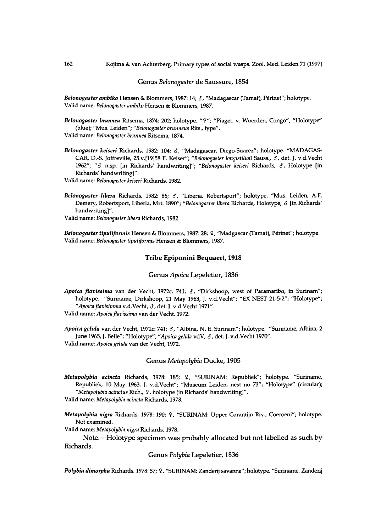Genus *Belonogaster* de Saussure, 1854

*Belonogaster ambiko* **Hensen & Blommers, 1987:14;** *8,* **"Madagascar (Tamat), Perinet"; holotype. Valid name:** *Belonogaster ambiko* **Hensen & Blommers, 1987.** 

- *Belonogaster brunnea* **Ritsema, 1874: 202; holotype. "** 9 **" ; "Piaget. v. Woerden, Congo"; "Holotype" (blue); "Mus. Leiden";** *"Belonogaster brunneus* **Rits., type". Valid name:** *Belonogaster brunnea* **Ritsema, 1874.**
- *Belonogaster keiseri* **Richards, 1982: 104;** *8,* **"Madagascar, Diego-Suarez"; holotype. "MADAGAS - CAR, D.-S. Joffreville, 25.v.[19]58 F. Keiser";** *"Belonogaster longistilusl* **Sauss.,** *8,* **det. J. v.d.Vecht 1962";** *"8* **n.sp. [in Richards<sup>7</sup> handwriting]";** *"Belonogaster keiseri* **Richards,** *8,* **Holotype [in Richards' handwriting]".**

**Valid name:** *Belonogaster keiseri* **Richards, 1982.** 

*Belonogaster libera* **Richards, 1982: 86;** *8,* **"Liberia, Robertsport"; holotype. "Mus. Leiden, A.F. Demery, Robertsport, Liberia, Mrt. 1890";** *"Belonogaster libera* **Richards, Holotype,** *8* **[in Richards' handwriting]".** 

**Valid name:** *Belonogaster libera* **Richards, 1982.** 

*Belonogaster tipuliformis* **Hensen & Blommers, 1987: 28;** 9 , **"Madgascar (Tamat), Perinet"; holotype. Valid name:** *Belonogaster tipuliformis* **Hensen & Blommers, 1987.** 

# Tribe Epiponini Bequaert, 1918

Genus *Apoica* Lepeletier, 1836

*Apoica flavissima* **van der Vecht, 1972c: 741;** *8,* **"Dirkshoop, west of Paramaribo, in Surinam"; holotype. "Suriname, Dirkshoop, 21 May 1963, J. v.d.Vecht"; "EX NEST 21-5-2"; "Holotype";**  *"Apoica flavisimma* **v.d.Vecht,** *8,* **det. J. v.d.Vecht 1971". Valid name:** *Apoica flavissima* **van der Vecht, 1972.** 

*Apoica gelida* **van der Vecht, 1972c: 741;** *8,* **"Albina, N. E. Surinam"; holotype. "Suriname, Albina, 2 June 1965, J. Belle"; "Holotype";** *"Apoica gelida* **vdV,** *8,* **det. J. v.d.Vecht 1970". Valid name:** *Apoica gelida* **van der Vecht, 1972.** 

#### Genus *Metapolybia* Ducke , 1905

*Metapolybia acincta* **Richards, 1978: 185;** 9 , **"SURINAM: Republiek"; holotype. "Suriname, Republiek, 10 May 1963, J. v.d.Vecht"; "Museum Leiden, nest no 73"; "Holotype" (circular);**  *"Metapolybia acinctus* **Rich.,** 9 , **holotype [in Richards' handwriting]".** 

**Valid name:** *Metapolybia acincta* **Richards, 1978.** 

*Metapolybia nigra* **Richards, 1978: 190;** 9 , **"SURINAM: Upper Corantijn Riv., Coeroeni"; holotype. Not examined.** 

**Valid name:** *Metapolybia nigra* **Richards, 1978.** 

Note.—Holotype specimen was probably allocated but not labelled as such by Richards .

Genus *Polybia* Lepeletier, 1836

*Polybia dimorpha* **Richards, 1978:57;** 9 , **"SURINAM: Zanderij savanna"; holotype. "Suriname, Zanderij**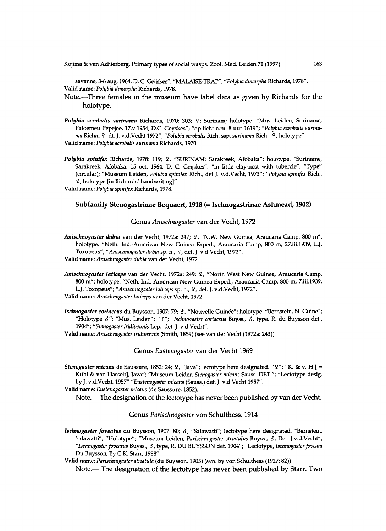**Kojima & van Achterberg. Primary types of social wasps. Zool. Med. Leiden 71 (1997) 163** 

**savanne, 3-6 aug. 1964, D. C. Geijskes"; "MALAISE-TRAP";** *"Polybia dimorpha* **Richards, 1978". Valid name:** *Polybia dimorpha* **Richards, 1978.** 

Note.—Three females in the museum have label data as given by Richards for the holotype.

*Polybia scrobalis surinatna* **Richards, 1970: 303;** 9 ; **Surinam; holotype. "Mus. Leiden, Suriname,**  Paloemeu Pepejoe, 17.v.1954, D.C. Geyskes"; "op licht n.m. 8 uur 1619"; "Polybia scrobalis surina*ma* **Richa.,** 9 , **dt. J. v.d.Vecht 1972";** *"Polybia scrobalis* **Rich. ssp.** *surinama* **Rich.,** 9 , **holotype". Valid name:** *Polybia scrobalis surinama* **Richards, 1970.** 

*Polybia spinifex* **Richards, 1978: 119;** 9 , **"SURINAM: Sarakreek, Afobaka"; holotype. "Suriname, Sarakreek, Afobaka, 15 oct. 1964, D. C. Geijskes"; "in little clay-nest with tubercle"; "Type" (circular); "Museum Leiden,** *Polybia spinifex* **Rich., det J. v.d.Vecht, 1973";** *"Polybia spinifex* **Rich.,**  9 , **holotype [in Richards' handwriting]".** 

**Valid name:** *Polybia spinifex* **Richards, 1978.** 

#### Subfamily Stenogastrinae Bequaert, 1918 (= Ischnogastrinae Ashmead, 1902)

#### Genus Anischnogaster van der Vecht, 1972

*Anischnogaster dubia* **van der Vecht, 1972a: 247;** 9 , **"N.W. New Guinea, Araucaria Camp, 800 m"; holotype. "Neth. Ind.-American New Guinea Exped., Araucaria Camp, 800 m, [27.iii.1939,](http://27.iii.1939) L.J. Toxopeus";** *"Anischnogaster dubia* **sp. n.,** 9 , **det. J. v.d.Vecht, 1972". Valid name:** *Anischnogaster dubia* **van der Vecht, 1972.** 

- *Anischnogaster laticeps* **van der Vecht, 1972a: 249;** 9 , **"North West New Guinea, Araucaria Camp, 800 m"; holotype. "Neth. Ind.-American New Guinea Exped., Araucaria Camp, 800 m, 7.iii.l939, L.J. Toxopeus";** *"Anischnogaster laticeps* **sp. n.,** 9 , **det. J. v.d.Vecht, 1972".**
- **Valid name:** *Anischnogaster laticeps* **van der Vecht, 1972.**
- *Ischnogaster coriaceus* **du Buysson, 1907: 79;** *8,* **"Nouvelle Guinee"; holotype. "Bernstein, N . Guine"; "Holotype** *8";* **"Mus. Leiden";** *"8") "Ischnogaster coriaceus* **Buyss.,** *8,* **type, R. du Buysson det., 1904";** *"Stenogaster iridipennis* **Lep., det. J. v.d.Vecht".**

**Valid name:** *Anischnogaster iridipennis* **(Smith, 1859) (see van der Vecht (1972a: 243)).** 

Genus Eustenogaster van der Vecht 1969

*Stenogaster micans* **de Saussure, 1852: 24;** 9 , **"Java"; lectotype here designated.** "9" ; **"K. & v. H [ = Kiihl & van Hasselt], Java"; "Museum Leiden** *Stenogaster micans* **Sauss. DET."; "Lectotype desig. by J. v.d.Vecht, 1957"** *"Eustenogaster micans* **(Sauss.) det. J. v.d.Vecht 1957".** 

**Valid name:** *Eustenogaster micans* **(de Saussure, 1852).** 

Note.— The designation of the lectotype has never been published by van der Vecht.

#### Genus Parischnogaster von Schulthess, 1914

*Ischnogaster foveatus* **du Buysson, 1907: 80;** *8,* **"Salawatti"; lectotype here designated. "Bernstein, Salawatti"; "Holotype"; "Museum Leiden,** *Parischnogaster striatulus* **Buyss.,** *8,* **Det. J.v.d.Vecht";**  *"Ischnogaster foveatus* **Buyss.,** *8,* **type, R. D U BUYSSON det. 1904"; "Lectotype,** *Ischnogaster foveata*  **Du Buysson, By C.K. Starr, 1988"** 

**Valid name:** *Parischnigaster striatula* **(du Buysson, 1905) (syn. by von Schulthess (1927:82))** 

Note. - The designation of the lectotype has never been published by Starr. Two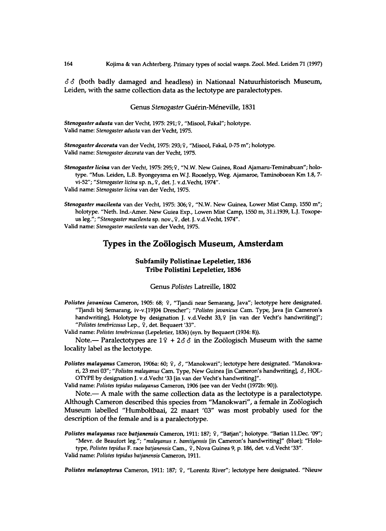$\delta \delta$  (both badly damaged and headless) in Nationaal Natuurhistorisch Museum, Leiden, with the same collection data as the lectotype are paralectotypes.

#### Genus Stenogaster Guérin-Méneville, 1831

*Stenogaster adusta* **van der Vecht, 1975: 291;** 9 , **"Misool, Fakal"; holotype. Valid name:** *Stenogaster adusta* **van der Vecht, 1975.** 

*Stenogaster decorata* **van der Vecht, 1975: 293;** 9 , **"Misool, Fakal, 0-75 m"; holotype. Valid name:** *Stenogaster decorata* **van der Vecht, 1975.** 

Stenogaster licina van der Vecht, 1975: 295; ?, "N.W. New Guinea, Road Ajamaru-Teminabuan"; holo**type. "Mus. Leiden, L.B. Byongeysma en W.J. Rooselyp, Weg. Ajamaroe, Taminoboean Km 1.8, 7 vi-52";** *"Stenogaster licina* **sp. n**.,9, **det. J. v.d.Vecht, 1974". Valid name:** *Stenogaster licina* **van der Vecht, 1975.** 

*Stenogaster macilenta* **van der Vecht, 1975: 306;** 9 , **"N.W. New Guinea, Lower Mist Camp, 1550 m";**  holotype. "Neth. Ind.-Amer. New Guiea Exp., Lowen Mist Camp, 1550 m, 31.i.1939, L.J. Toxope**us leg/';** *"Stenogaster macilenta* **sp. nov.,** 9 , **det. J. v.d.Vecht, 1974". Valid name:** *Stenogaster macilenta* **van der Vecht, 1975.** 

# **Types in the Zoologisch Museum, Amsterdam**

# **Subfamily Polistinae Lepeletier, 1836 Tribe Polistini Lepeletier, 1836**

#### Genus *Polistes* Latreille, 1802

*Polistes javanicus* **Cameron, 1905: 68;** 9 , **"Tjandi near Semarang, Java"; lectotype here designated. "Tjandi bij Semarang, iv-v.[19]04 Drescher";** *"Polistes javanicus* **Cam. Type, Java [in Cameron's handwriting], Holotype by designation J. v.d.Vecht 33**,9 **[in van der Vecht's handwriting]";**  *"Polistes tenebricosus* **Lep.,** 9 , **det. Bequaert '33".** 

**Valid name:** *Polistes tenebricosus* **(Lepeletier, 1836) (syn. by Bequaert (1934: 8)).** 

Note. – Paralectotypes are  $19 + 2\delta\delta$  in the Zoölogisch Museum with the same locality label as the lectotype.

*Polistes malayanus* **Cameron, 1906a: 60;** 9 , *6,* **"Manokwari"; lectotype here designated. "Manokwari, 23 mei 03";** *"Polistes malayanus* **Cam. Type, New Guinea [in Cameron's handwriting],** *6,* **HOL-OTYPE by designation J. v.d.Vecht '33 [in van der Vecht's handwriting]".** 

**Valid name:** *Polistes tepidus malayanus* **Cameron, 1906 (see van der Vecht (1972b: 90)).** 

Note.— A male with the same collection data as the lectotype is a paralectotype. Although Cameron described this species from "Manokwari", a female in Zoölogisch Museum labelled "Humboltbaai, 22 maart '03" was most probably used for the description of the female and is a paralectotype.

*Polistes malayanus* **race** *batjanensis* **Cameron, 1911:187;** 9 , **"Batjan"; holotype. "Batian 11.Dec. '09"; "Mevr. de Beaufort leg.";** *"malayanus* **r.** *bamtiyensis* **[in Cameron's handwriting]" (blue); "Holotype,** *Polistes tepidus* **F. race** *batjanensis* **Cam.,** 9 , **Nova Guinea 9, p. 186, det. v.d.Vecht '33".** 

**Valid name:** *Polistes tepidus batjanensis* **Cameron, 1911.** 

*Polistes melanopterus* **Cameron, 1911: 187;** 9 , **"Lorentz River"; lectotype here designated. "Nieuw**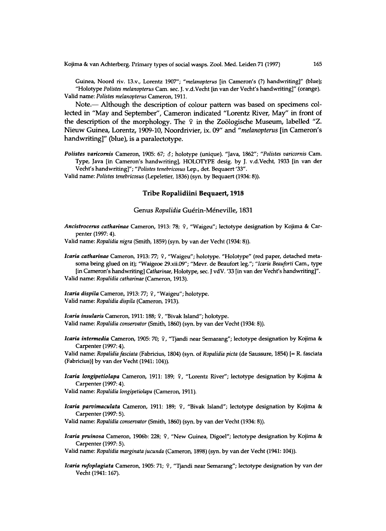**Guinea, Noord riv. 13.v., Lorentz 1907";** *"melanopterus* **[in Cameron's (?) handwriting]" (blue); "Holotype** *Polistes melanopterus* **Cam. sec. J. v.d.Vecht [in van der Vechfs handwriting]" (orange). Valid name:** *Polistes melanopterus* **Cameron, 1911.** 

Note.- Although the description of colour pattern was based on specimens collected in "May and September", Cameron indicated "Lorentz River, May" in front of the description of the morphology. The  $9$  in the Zoölogische Museum, labelled "Z. Nieuw Guinea, Lorentz, 1909-10, Noordrivier, ix. 09" and "melanopterus [in Cameron's handwriting]" (blue), is a paralectotype.

*Polistes varicornis* **Cameron, 1905: 67;** *8;* **holotype (unique). "Java, 1862";** *"Polistes varicornis* **Cam. Type, Java [in Cameron's handwriting], HOLOTYPE desig. by J. v.d.Vecht, 1933 [in van der Vecht's handwriting]";** *"Polistes tenebricosus* **Lep., det. Bequaert '33".** 

**Valid name:** *Polistes tenebricosus* **(Lepeletier, 1836) (syn. by Bequaert (1934: 8)).** 

# Tribe Ropalidiini Bequaert, 1918

#### Genus Ropalidia Guérin-Méneville, 1831

*Ancistrocerus catharinae* **Cameron, 1913: 78;** 9 , **"Waigeu"; lectotype designation by Kojima & Carpenter (1997: 4).** 

**Valid name:** *Ropalidia nigra* **(Smith, 1859) (syn. by van der Vecht (1934:8)).** 

*Icaria catharinae* **Cameron, 1913: 77;** 9 , **"Waigeu"; holotype. "Holotype" (red paper, detached metasoma being glued on it); "Waigeoe [29.xii.09";](http://29.xii.09) "Mevr. de Beaufort leg.";** *"Icaria Beauforti* **Cam., type [in Cameron's handwriting]** *Catharinae,* **Holotype, sec. J vdV. '33 [in van der Vechfs handwriting]". Valid name:** *Ropalidia catharinae* **(Cameron, 1913).** 

*Icaria dispila* **Cameron, 1913: 77;** 9 , **"Waigeu"; holotype. Valid name:** *Ropalidia dispila* **(Cameron, 1913).** 

*Icaria insularis* **Cameron, 1911:188;** 9 , **"Bivak Island"; holotype. Valid name:** *Ropalidia conservator* **(Smith, 1860) (syn. by van der Vecht (1934: 8)).** 

*Icaria intermedia* **Cameron, 1905: 70;** 9 , **"Tjandi near Semarang"; lectotype designation by Kojima & Carpenter (1997:4).** 

**Valid name:** *Ropalidia fasciata* **(Fabricius, 1804) (syn. of** *Ropalidia picta* **(de Saussure, 1854) [= R. fasciata (Fabricius)] by van der Vecht (1941:104)).** 

*Icaria longipetiolapa* **Cameron, 1911: 189;** 9 , **"Lorentz River"; lectotype designation by Kojima & Carpenter (1997:4).** 

**Valid name:** *Ropalidia longipetiolapa* **(Cameron, 1911).** 

*Icaria parvimaculata* **Cameron, 1911: 189;** 9 , **"Bivak Island"; lectotype designation by Kojima & Carpenter (1997: 5).** 

**Valid name:** *Ropalidia conservator* **(Smith, 1860) (syn. by van der Vecht (1934: 8)).** 

*Icaria pruinosa* **Cameron, 1906b: 228;** 9 , **"New Guinea, Digoel"; lectotype designation by Kojima & Carpenter (1997: 5).** 

**Valid name:** *Ropalidia marginata jucunda* **(Cameron, 1898) (syn. by van der Vecht (1941:104)).** 

*Icaria rufoplagiata* **Cameron, 1905: 71;** 9 , **"Tjandi near Semarang"; lectotype designation by van der Vecht (1941:167).**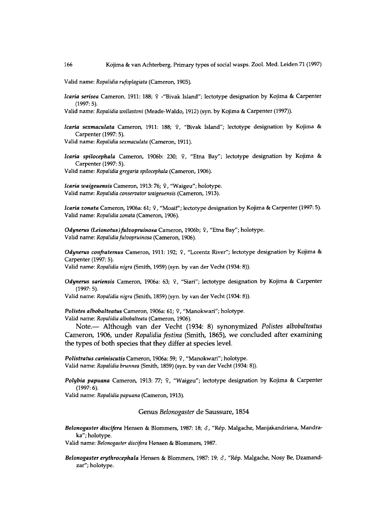**Valid name:** *Ropalidia rufoplagiata* **(Cameron, 1905).** 

*Icaria serisea* **Cameron, 1911: 188;** 9 **-"Bivak Island"; lectotype designation by Kojima & Carpenter (1997: 5).** 

**Valid name:** *Ropalidia wollastoni* **(Meade-Waldo, 1912) (syn. by Kojima & Carpenter (1997)).** 

*Icaria sextnaculata* **Cameron, 1911: 188;** 9 , **"Bivak Island"; lectotype designation by Kojima & Carpenter (1997: 5).** 

Valid name: *Ropalidia sexmaculata* (Cameron, 1911).

*Icaria spilocephala* **Cameron, 1906b: 230;** 9 , **"Etna Bay"; lectotype designation by Kojima & Carpenter (1997:5). Valid name:** *Ropalidia gregaria spilocephala* **(Cameron, 1906).** 

*Icaria waigeuensis* **Cameron, 1913: 76;** 9 , **"Waigeu"; holotype. Valid name:** *Ropalidia conservator waigeuensis* **(Cameron, 1913).** 

*Icaria zonata* **Cameron, 1906a: 61;** 9 , **"Moaif"; lectotype designation by Kojima & Carpenter (1997: 5). Valid name:** *Ropalidia zonata* **(Cameron, 1906).** 

*Odynerus (Leionotus)fulvopruinosa* **Cameron, 1906b;** 9 , **"Etna Bay"; holotype. Valid name:** *Ropalidia fulvopruinosa* **(Cameron, 1906).** 

*Odynerus confraternus* **Cameron, 1911: 192;** 9 , **"Lorentz River"; lectotype designation by Kojima & Carpenter (1997:5).** 

**Valid name:** *Ropalidia nigra* **(Smith, 1959) (syn. by van der Vecht (1934: 8)).** 

*Odynerus sariensis* **Cameron, 1906a: 63;** 9 , **"Siari"; lectotype designation by Kojima & Carpenter (1997: 5).** 

**Valid name:** *Ropalidia nigra* **(Smith, 1859) (syn. by van der Vecht (1934: 8)).** 

*Polistes albobalteatus* **Cameron, 1906a: 61;** 9 , **"Manokwari"; holotype. Valid name:** *Ropalidia albobalteata* **(Cameron, 1906).** 

Note. — Although van der Vecht (1934: 8) synonymized *Polistes albobalteatus* Cameron, 1906, under *Ropalidia festina* (Smith, 1865), we concluded after examining the types of both species that they differ at species level.

*Polistratus cariniscutis* **Cameron, 1906a: 59;** 9 , **"Manokwari"; holotype. Valid name:** *Ropalidia brunnea* **(Smith, 1859) (syn. by van der Vecht (1934: 8)).** 

*Polybia papuana* **Cameron, 1913: 77;** 9 , **"Waigeu"; lectotype designation by Kojima & Carpenter (1997: 6).** 

**Valid name:** *Ropalidia papuana* **(Cameron, 1913).** 

Genus *Belonogaster* de Saussure, 1854

*Belonogaster discifera* **Hensen & Blommers, 1987: 18;** *6,* **"Rep. Malgache, Manjakandriana, Mandraka"; holotype.** 

**Valid name:** *Belonogaster discifera* **Hensen & Blommers, 1987.** 

*Belonogaster erythrocephala* **Hensen & Blommers, 1987:19;** *8,* **"Rep. Malgache, Nosy Be, Dzamandzar"; holotype.**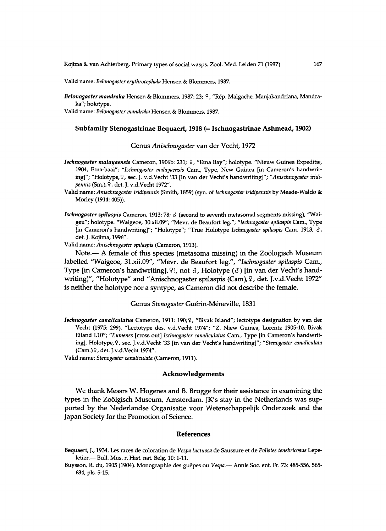**Valid name:** *Belonogaster erythrocephala* **Hensen & Blommers, 1987.** 

*Belonogaster mandraka* **Hensen & Blommers, 1987: 23;** 9 , **"Rep. Malgache, Manjakandriana, Mandraka"; holotype.** 

**Valid name:** *Belonogaster mandraka* **Hensen & Blommers, 1987.** 

#### Subfamily Stenogastrinae Bequaert, 1918 (= Ischnogastrinae Ashmead, 1902)

#### Genus Anischnogaster van der Vecht, 1972

- *Ischnogaster malayaensis* **Cameron, 1906b: 231;** 9 , **"Etna Bay"; holotype. "Nieuw Guinea Expeditie, 1904, Etna-baai";** *"Ischnogaster malayaensis* **Cam., Type, New Guinea [in Cameron's handwriting]"; "Holotype,** 9 , **sec. J. v.d.Vecht '33 [in van der Vecht's handwriting]";** *"Anischnogaster iridipennis* **(Sm**.),9, **det. J. v.d.Vecht 1972".**
- **Valid name:** *Anischnogaster iridipennis* **(Smith, 1859) (syn. of** *Ischnogaster iridipennis* **by Meade-Waldo & Morley (1914:405)).**
- *Ischnogaster spilaspis* **Cameron, 1913: 78;** *8* **(second to seventh metasomal segments missing), "Waigeu"; holotype. "Waigeoe, [30.xii.09"](http://30.xii.09); "Mevr. de Beaufort leg.";** *"Ischnogaster spilaspis* **Cam., Type [in Cameron's handwriting]"; "Holotype"; "True Holotype** *Ischnogaster spilaspis* **Cam. 1913,** *8,*  **det. J. Kojima, 1996".**

**Valid name:** *Anischnogaster spilaspis* **(Cameron, 1913).** 

Note. — A female of this species (metasoma missing) in the Zoölogisch Museum labelled "Waigeoe, [31.xii.09"](http://31.xii.09), "Mevr. de Beaufort leg.", *"Ischnogaster spilaspis* Cam. , Type [in Cameron's handwriting], ?!, not  $\delta$ , Holotype ( $\delta$ ) [in van der Vecht's handwriting]", "Holotype" and "Anischnogaster spilaspis (Cam), ?, det. J.v.d.Vecht 1972" is neither the holotype nor a syntype, as Cameron did not describe the female.

## Genus Stenogaster Guérin-Méneville, 1831

*Ischnogaster canaliculars* **Cameron, 1911: 190;** 9 , **"Bivak Island"; lectotype designation by van der Vecht (1975: 299). "Lectotype des. v.d.Vecht 1974"; "Z. Niew Guinea, Lorentz 1905-10, Bivak Eiland 1.10";** *"Eumenes* **[cross out]** *Ischnogaster canaliculars* **Cam., Type [in Cameron's handwriting], Holotype,** 9 , **sec. J.v.d.Vecht '33 [in van der Vecht's handwriting]";** *"Stenogaster canaliculata*  **(Cam.)**9, **det. J.v.d.Vecht 1974".** 

**Valid name:** *Stenogaster canaliculata* **(Cameron, 1911).** 

#### **Acknowledgements**

We thank Messrs W. Hogenes and B. Brugge for their assistance in examining the types in the Zoölgisch Museum, Amsterdam. JK's stay in the Netherlands was supported by the Nederlandse Organisatie voor Wetenschappelijk Onderzoek and the Japan Society for the Promotion of Science.

#### References

- **Bequaert, J., 1934. Les races de coloration de** *Vespa luctuosa* **de Saussure et de** *Polistes tenebricosus* **Lepeletier.— Bull. Mus. r. Hist. nat. Belg. 10:1-11.**
- **Buysson, R. du, 1905 (1904). Monographic des guepes ou** *Vespa.* **Annls Soc. ent. Fr. 73: 485-556, 565- 634, pis. 5-15.**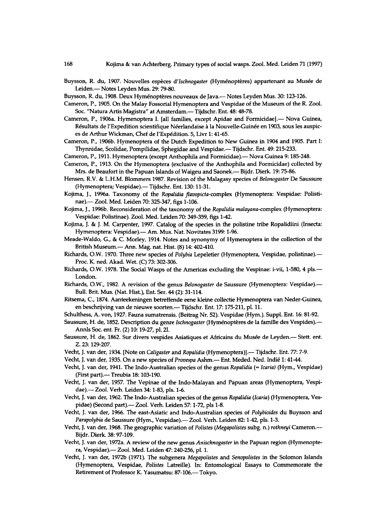- **Buysson, R. du, 1907. Nouvelles especes** *d'Ischnogaster* **(Hymenopteres) appartenant au Musee de Leiden.— Notes Leyden Mus. 29: 79-80.**
- Buysson, R. du, 1908. Deux Hyménoptères nouveaux de Java.— Notes Leyden Mus. 30: 123-126.
- **Cameron, P., 1905. On the Malay Fossorial Hymenoptera and Vespidae of the Museum of the R. Zool. Soc. "Natura Artis Magistra" at Amsterdam.— Tijdschr. Ent. 48:48-78.**
- **Cameron, P., 1906a. Hymenoptera I. [all families, except Apidae and Formicidae].— Nova Guinea,**  Résultats de l'Expedition scientifique Néerlandaise à la Nouvelle-Guinée en 1903, sous les auspic**es de Arthur Wickman, Chef de l'Expedition. 5, Livr 1:41-65.**
- **Cameron, P., 1906b. Hymenoptera of the Dutch Expedition to New Guinea in 1904 and 1905. Part I: Thynnidae, Scolidae, Pompilidae, Sphegidae and Vespidae.— Tijdschr. Ent. 49:215-233.**

**Cameron, P., 1911. Hymenoptera (except Anthophila and Formicidae).— Nova Guinea 9:185-248.** 

- **Cameron, P., 1913. On the Hymenoptera (exclusive of the Anthophila and Formicidae) collected by Mrs. de Beaufort in the Papuan Islands of Waigeu and Saonek.— Bijdr. Dierk. 19: 75-86.**
- **Hensen, R.V. & L.H.M. Blommers 1987. Revision of the Malagasy species of** *Belonogaster* **De Saussure (Hymenoptera; Vespidae).— Tijdschr. Ent. 130:11-31.**
- **Kojima, J., 1996a. Taxonomy of the** *Ropalidia flavopicta-compiex* **(Hymenoptera: Vespidae: Polistinae).— Zool. Med. Leiden 70:325-347, figs 1-106.**
- **Kojima, J., 1996b. Reconsideration of the taxonomy of the** *Ropalidia malayana-complex* **(Hymenoptera: Vespidae: Polistinae). Zool. Med. Leiden 70:349-359, figs 1-42.**
- **Kojima, J. & J. M. Carpenter, 1997. Catalog of the species in the polistine tribe Ropalidiini (Insecta: Hymenoptera: Vespidae).— Am. Mus. Nat. Novitates 3199:1-96.**
- **Meade-Waldo, G., & C. Morley, 1914. Notes and synonymy of Hymenoptera in the collection of the British Museum.— Ann. Mag. nat. Hist. (8) 14:402-410.**
- **Richards, O.W. 1970. Three new species of** *Polybia* **Lepeletier (Hymenoptera, Vespidae, polistinae).— Proc. K. ned. Akad. Wet. (C) 73: 302-306.**
- **Richards, O.W. 1978. The Social Wasps of the Americas excluding the Vespinae: i-vii, 1-580, 4 pis.— London.**
- **Richards, O.W., 1982. A revision of the genus** *Belonogaster* **de Saussure (Hymenoptera: Vespidae).— Bull. Brit. Mus. (Nat. Hist.), Ent. Ser. 44 (2): 31-114.**
- **Ritsema, C , 1874. Aanteekeningen betreffende eene kleine collectie Hymenoptera van Neder-Guinea, en beschrijving van de nieuwe soorten.— Tijdschr. Ent. 17:175-211, pi. 11.**
- **Schulthess, A. von, 1927. Fauna sumatrensis. (Beitrag Nr. 52). Vespidae (Hym.). Suppl. Ent. 16:81-92.**
- **Saussure, H . de, 1852. Description du genre** *Ischnogaster* **(Hymenopteres de la famille des Vespides).— Annls Soc. ent. Fr. (2) 10:19-27, pi. 21.**
- **Saussure, H . de, 1862. Sur divers vespides Asiatiques et Africains du Musee de Leyden.— Stett. ent. Z. 23:129-207.**
- **Vecht, J. van der, 1934. [Note on** *Caligaster* **and** *Ropalidia* **(Hymenoptera)].— Tijdschr. Ent. 77: 7-9.**
- **Vecht, J. van der, 1935. On a new species of** *Provespa* **Ashm.— Ent. Meded. Ned. Indie 1:41-44.**
- **Vecht, J. van der, 1941. The Indo-Australian species of the genus** *Ropalidia (= Icaria)* **(Hym., Vespidae) (First part).— Treubia 18:103-190.**
- **Vecht, J. van der, 1957. The Vepinae of the Indo-Malayan and Papuan areas (Hymenoptera, Vespidae).— Zool. Verh. Leiden 34:1-83, pis. 1-6.**
- **Vecht, J. van der, 1962. The Indo-Australian species of the genus** *Ropalidia {Icaria)* **(Hymenoptera, Vespidae) (Second part).— Zool. Verh. Leiden 57:1-72, pis 1-8.**
- **Vecht, J. van der, 1966. The east-Asiatic and Indo-Australian species of** *Polybioides* **du Buysson and**  *Parapolybia* **de Saussure (Hym., Vespidae).— Zool. Verh. Leiden 82:1-42, pis. 1-3.**
- **Vecht, J. van der, 1968. The geographic variation of** *Polistes (Megapolistes* **subg. n.)** *rothneyi* **Cameron.— Bijdr. Dierk. 38:97-109.**
- **Vecht, J. van der, 1972a. A review of the new genus** *Anischnogaster* **in the Papuan region (Hymenoptera, Vespidae).— Zool. Med. Leiden 47:240-256, pi. 1.**
- **Vecht, J. van der, 1972b (1971). The subgenera** *Megapolistes* **and** *Senopolistes* **in the Solomon Islands (Hymenoptera, Vespidae,** *Polistes* **Latreille). In: Entomological Essays to Commemorate the Retirement of Professor K. Yasumatsu: 87-106.— Tokyo.**